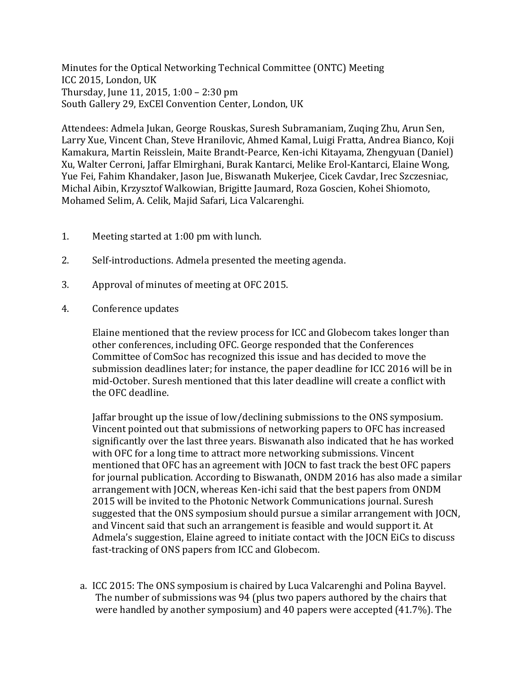Minutes for the Optical Networking Technical Committee (ONTC) Meeting ICC 2015, London, UK Thursday, June 11, 2015, 1:00 – 2:30 pm South Gallery 29, ExCEl Convention Center, London, UK

Attendees: Admela Jukan, George Rouskas, Suresh Subramaniam, Zuqing Zhu, Arun Sen, Larry Xue, Vincent Chan, Steve Hranilovic, Ahmed Kamal, Luigi Fratta, Andrea Bianco, Koji Kamakura, Martin Reisslein, Maite Brandt-Pearce, Ken-ichi Kitayama, Zhengyuan (Daniel) Xu, Walter Cerroni, Jaffar Elmirghani, Burak Kantarci, Melike Erol-Kantarci, Elaine Wong, Yue Fei, Fahim Khandaker, Jason Jue, Biswanath Mukerjee, Cicek Cavdar, Irec Szczesniac, Michal Aibin, Krzysztof Walkowian, Brigitte Jaumard, Roza Goscien, Kohei Shiomoto, Mohamed Selim, A. Celik, Majid Safari, Lica Valcarenghi.

- 1. Meeting started at 1:00 pm with lunch.
- 2. Self-introductions. Admela presented the meeting agenda.
- 3. Approval of minutes of meeting at OFC 2015.
- 4. Conference updates

Elaine mentioned that the review process for ICC and Globecom takes longer than other conferences, including OFC. George responded that the Conferences Committee of ComSoc has recognized this issue and has decided to move the submission deadlines later; for instance, the paper deadline for ICC 2016 will be in mid-October. Suresh mentioned that this later deadline will create a conflict with the OFC deadline.

Jaffar brought up the issue of low/declining submissions to the ONS symposium. Vincent pointed out that submissions of networking papers to OFC has increased significantly over the last three years. Biswanath also indicated that he has worked with OFC for a long time to attract more networking submissions. Vincent mentioned that OFC has an agreement with JOCN to fast track the best OFC papers for journal publication. According to Biswanath, ONDM 2016 has also made a similar arrangement with JOCN, whereas Ken-ichi said that the best papers from ONDM 2015 will be invited to the Photonic Network Communications journal. Suresh suggested that the ONS symposium should pursue a similar arrangement with JOCN, and Vincent said that such an arrangement is feasible and would support it. At Admela's suggestion, Elaine agreed to initiate contact with the JOCN EiCs to discuss fast-tracking of ONS papers from ICC and Globecom.

a. ICC 2015: The ONS symposium is chaired by Luca Valcarenghi and Polina Bayvel. The number of submissions was 94 (plus two papers authored by the chairs that were handled by another symposium) and 40 papers were accepted (41.7%). The